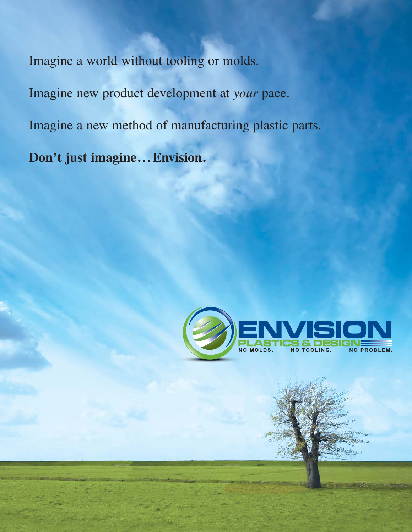Imagine a world without tooling or molds.

Imagine new product development at *your* pace.

Imagine a new method of manufacturing plastic parts.

**Don't just imagine... Envision.**

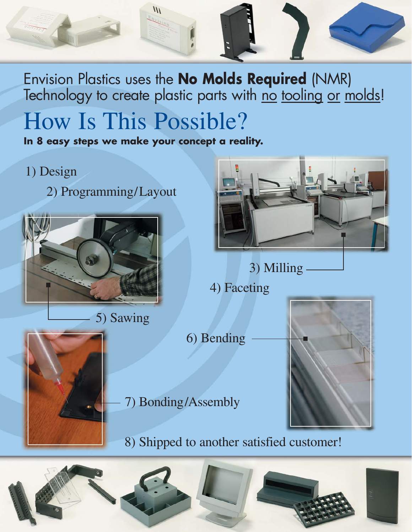

Envision Plastics uses the **No Molds Required** (NMR) Technology to create plastic parts with no tooling or molds!

## How Is This Possible?

**In 8 easy steps we make your concept a reality.**

#### 1) Design

2) Programming/Layout



5) Sawing



3) Milling

4) Faceting

6) Bending



8) Shipped to another satisfied customer!



7) Bonding/Assembly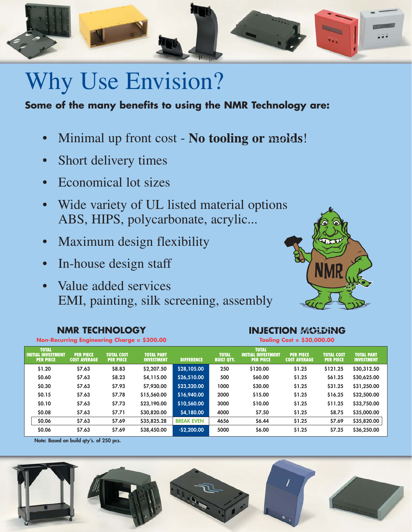

### Why Use Envision?

#### **Some of the many benefits to using the NMR Technology are:**

- Minimal up front cost No tooling or molds!
- Short delivery times
- Economical lot sizes
- Wide variety of UL listed material options ABS, HIPS, polycarbonate, acrylic...
- Maximum design flexibility
- In-house design staff
- Value added services EMI, painting, silk screening, assembly



**INJECTION MOLDING** 

#### **NMR TECHNOLOGY**

| Non-Recurring Engineering Charge $=$ \$300.00 |                                                               |                                         |                                       |                                        | Tooling Cost = \$30,000.00 |                                   |                                                               |                                         |                                       |                                        |
|-----------------------------------------------|---------------------------------------------------------------|-----------------------------------------|---------------------------------------|----------------------------------------|----------------------------|-----------------------------------|---------------------------------------------------------------|-----------------------------------------|---------------------------------------|----------------------------------------|
|                                               | <b>TOTAL</b><br><b>INITIAL INVESTMENT</b><br><b>PER PIECE</b> | <b>PER PIECE</b><br><b>COST AVERAGE</b> | <b>TOTAL COST</b><br><b>PER PIECE</b> | <b>TOTAL PART</b><br><b>INVESTMENT</b> | <b>DIFFERENCE</b>          | <b>TOTAL</b><br><b>BUILT QTY.</b> | <b>TOTAL</b><br><b>INITIAL INVESTMENT</b><br><b>PER PIECE</b> | <b>PER PIECE</b><br><b>COST AVERAGE</b> | <b>TOTAL COST</b><br><b>PER PIECE</b> | <b>TOTAL PART</b><br><b>INVESTMENT</b> |
|                                               | \$1.20                                                        | \$7.63                                  | \$8.83                                | \$2,207.50                             | \$28,105.00                | 250                               | \$120.00                                                      | \$1.25                                  | \$121.25                              | \$30,312.50                            |
|                                               | \$0.60                                                        | \$7.63                                  | \$8.23                                | \$4,115.00                             | \$26,510.00                | 500                               | \$60.00                                                       | \$1.25                                  | \$61.25                               | \$30,625.00                            |
|                                               | \$0.30                                                        | \$7.63                                  | \$7.93                                | \$7,930.00                             | \$23,320.00                | 1000                              | \$30.00                                                       | \$1.25                                  | \$31.25                               | \$31,250.00                            |
|                                               | \$0.15                                                        | \$7.63                                  | \$7.78                                | \$15,560.00                            | \$16,940.00                | 2000                              | \$15.00                                                       | \$1.25                                  | \$16.25                               | \$32,500.00                            |
|                                               | \$0.10                                                        | \$7.63                                  | \$7.73                                | \$23,190.00                            | \$10,560.00                | 3000                              | \$10.00                                                       | \$1.25                                  | \$11.25                               | \$33,750.00                            |
|                                               | \$0.08                                                        | \$7.63                                  | \$7.71                                | \$30,820.00                            | \$4,180.00                 | 4000                              | \$7.50                                                        | \$1.25                                  | \$8.75                                | \$35,000.00                            |
|                                               | \$0.06                                                        | \$7.63                                  | \$7.69                                | \$35,825.28                            | <b>BREAK EVEN</b>          | 4656                              | \$6.44                                                        | \$1.25                                  | \$7.69                                | \$35,820.00                            |
|                                               | \$0.06                                                        | \$7.63                                  | \$7.69                                | \$38,450.00                            | $-$2,200.00$               | 5000                              | \$6.00                                                        | \$1.25                                  | \$7.25                                | \$36,250.00                            |

**Note: Based on build qty's. of 250 pcs.**